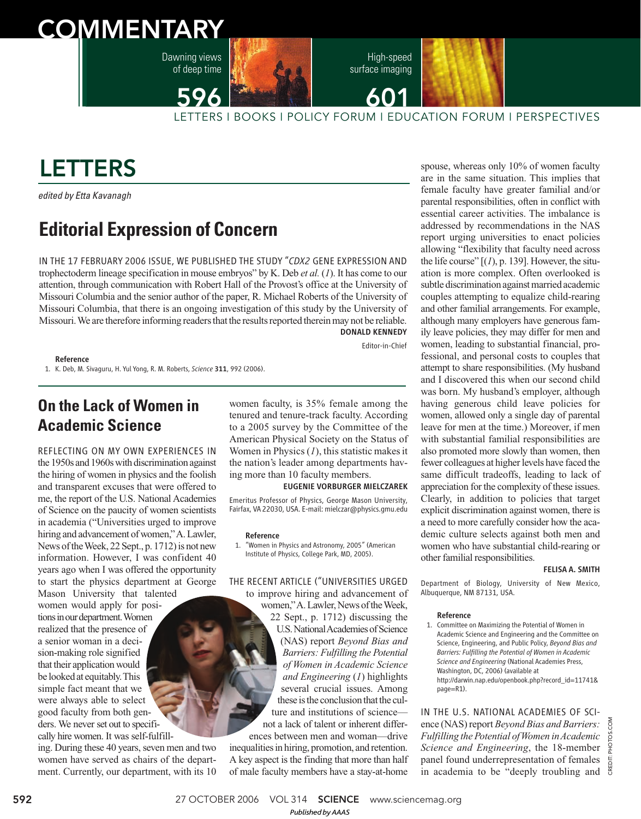# **COMMENTARY**

Dawning views of deep time



High-speed surface imaging

LETTERS I BOOKS I POLICY FORUM I EDUCATION FORUM I PERSPECTIVES

# LETTERS

edited by Etta Kavanagh

# **Editorial Expression of Concern**

IN THE 17 FEBRUARY 2006 ISSUE, WE PUBLISHED THE STUDY "*CDX2* GENE EXPRESSION AND trophectoderm lineage specification in mouse embryos" by K. Deb *et al.* (*1*). It has come to our attention, through communication with Robert Hall of the Provost's office at the University of Missouri Columbia and the senior author of the paper, R. Michael Roberts of the University of Missouri Columbia, that there is an ongoing investigation of this study by the University of Missouri. We are therefore informing readers that the results reported therein may not be reliable.

DONALD KENNEDY

Editor-in-Chief

Reference 1. K. Deb, M. Sivaguru, H. Yul Yong, R. M. Roberts, *Science* 311, 992 (2006).

# **On the Lack of Women in Academic Science**

REFLECTING ON MY OWN EXPERIENCES IN the 1950s and 1960s with discrimination against the hiring of women in physics and the foolish and transparent excuses that were offered to me, the report of the U.S. National Academies of Science on the paucity of women scientists in academia ("Universities urged to improve hiring and advancement of women," A. Lawler, News of the Week, 22 Sept., p. 1712) is not new information. However, I was confident 40 years ago when I was offered the opportunity to start the physics department at George

Mason University that talented women would apply for positions in our department. Women realized that the presence of a senior woman in a decision-making role signified that their application would be looked at equitably. This simple fact meant that we were always able to select good faculty from both genders. We never set out to specifically hire women. It was self-fulfill-

ing. During these 40 years, seven men and two women have served as chairs of the department. Currently, our department, with its 10

women faculty, is 35% female among the tenured and tenure-track faculty. According to a 2005 survey by the Committee of the American Physical Society on the Status of Women in Physics (*1*), this statistic makes it the nation's leader among departments having more than 10 faculty members.

#### EUGENIE VORBURGER MIELCZAREK

Emeritus Professor of Physics, George Mason University, Fairfax, VA 22030, USA. E-mail: mielczar@physics.gmu.edu

#### Reference

1. "Women in Physics and Astronomy, 2005" (American Institute of Physics, College Park, MD, 2005).

### THE RECENT ARTICLE ("UNIVERSITIES URGED to improve hiring and advancement of

women," A. Lawler, News of the Week, 22 Sept., p. 1712) discussing the U.S. National Academies of Science (NAS) report *Beyond Bias and Barriers: Fulfilling the Potential of Women in Academic Science and Engineering* (*1*) highlights several crucial issues. Among these is the conclusion that the culture and institutions of science not a lack of talent or inherent differ-

ences between men and woman—drive inequalities in hiring, promotion, and retention. A key aspect is the finding that more than half of male faculty members have a stay-at-home

are in the same situation. This implies that female faculty have greater familial and/or parental responsibilities, often in conflict with essential career activities. The imbalance is addressed by recommendations in the NAS report urging universities to enact policies allowing "flexibility that faculty need across the life course"  $[(1), p. 139]$ . However, the situation is more complex. Often overlooked is subtle discrimination against married academic couples attempting to equalize child-rearing and other familial arrangements. For example, although many employers have generous family leave policies, they may differ for men and women, leading to substantial financial, professional, and personal costs to couples that attempt to share responsibilities. (My husband and I discovered this when our second child was born. My husband's employer, although having generous child leave policies for women, allowed only a single day of parental leave for men at the time.) Moreover, if men with substantial familial responsibilities are also promoted more slowly than women, then fewer colleagues at higher levels have faced the same difficult tradeoffs, leading to lack of appreciation for the complexity of these issues. Clearly, in addition to policies that target explicit discrimination against women, there is a need to more carefully consider how the academic culture selects against both men and women who have substantial child-rearing or other familial responsibilities.

spouse, whereas only 10% of women faculty

#### FELISA A. SMITH

Department of Biology, University of New Mexico, Albuquerque, NM 87131, USA.

#### Reference

1. Committee on Maximizing the Potential of Women in Academic Science and Engineering and the Committee on Science, Engineering, and Public Policy, *Beyond Bias and Barriers: Fulfilling the Potential of Women in Academic Science and Engineering* (National Academies Press, Washington, DC, 2006) (available at http://darwin.nap.edu/openbook.php?record\_id=11741& page=R1).

# IN THE U.S. NATIONAL ACADEMIES OF SCI-

ence (NAS) report *Beyond Bias and Barriers: Fulfilling the Potential of Women in Academic Science and Engineering*, the 18-member panel found underrepresentation of females in academia to be "deeply troubling and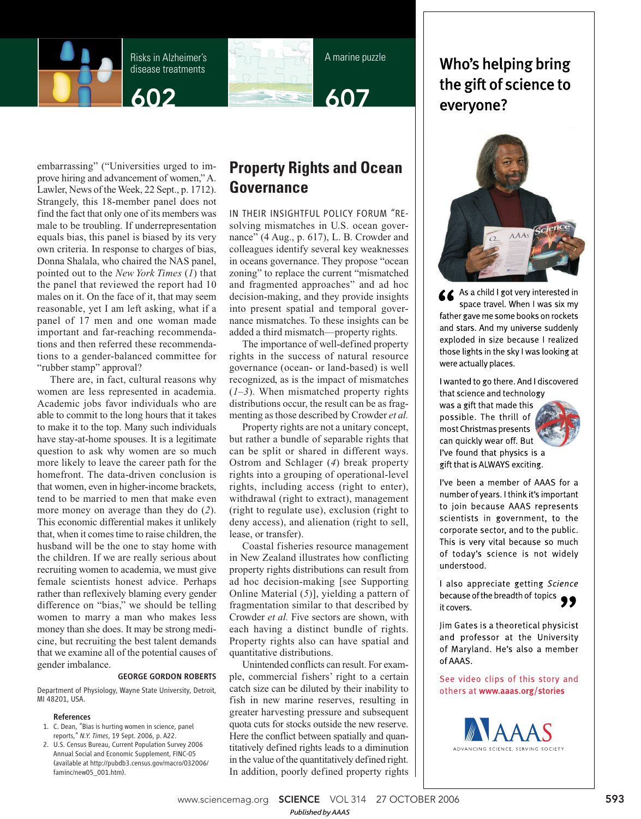Risks in Alzheimer's disease treatments

602



A marine puzzle

607

Who's helping bring the gift of science to everyone?

embarrassing" ("Universities urged to improve hiring and advancement of women," A. Lawler, News of the Week, 22 Sept., p. 1712). Strangely, this 18-member panel does not find the fact that only one of its members was male to be troubling. If underrepresentation equals bias, this panel is biased by its very own criteria. In response to charges of bias, Donna Shalala, who chaired the NAS panel, pointed out to the *New York Times* ( *1*) that the panel that reviewed the report had 10 males on it. On the face of it, that may seem reasonable, yet I am left asking, what if a panel of 17 men and one woman made important and far-reaching recommendations and then referred these recommendations to a gender-balanced committee for "rubber stamp" approval?

There are, in fact, cultural reasons why women are less represented in academia. Academic jobs favor individuals who are able to commit to the long hours that it takes to make it to the top. Many such individuals have stay-at-home spouses. It is a legitimate question to ask why women are so much more likely to leave the career path for the homefront. The data-driven conclusion is that women, even in higher-income brackets, tend to be married to men that make even more money on average than they do ( *2*). This economic differential makes it unlikely that, when it comes time to raise children, the husband will be the one to stay home with the children. If we are really serious about recruiting women to academia, we must give female scientists honest advice. Perhaps rather than reflexively blaming every gender difference on "bias," we should be telling women to marry a man who makes less money than she does. It may be strong medicine, but recruiting the best talent demands that we examine all of the potential causes of gender imbalance.

#### GEORGE GORDON ROBERTS

Department of Physiology, Wayne State University, Detroit, MI 48201, USA.

#### References

- 1. C. Dean, "Bias is hurting women in science, panel reports," *N.Y. Times*, 19 Sept. 2006, p. A22.
- 2. U.S. Census Bureau, Current Population Survey 2006 Annual Social and Economic Supplement, FINC-05 (available at http://pubdb3.census.gov/macro/032006/ faminc/new05\_001.htm).

# **Property Rights and Ocean Governance**

IN THEIR INSIGHTFUL POLICY FORUM "REsolving mismatches in U.S. ocean governance" (4 Aug., p. 617), L. B. Crowder and colleagues identify several key weaknesses in oceans governance. They propose "ocean zoning" to replace the current "mismatched and fragmented approaches" and ad hoc decision-making, and they provide insights into present spatial and temporal governance mismatches. To these insights can be added a third mismatch—property rights.

The importance of well-defined property rights in the success of natural resource governance (ocean- or land-based) is well recognized, as is the impact of mismatches (*1–3*). When mismatched property rights distributions occur, the result can be as fragmenting as those described by Crowder *et al.*

Property rights are not a unitary concept, but rather a bundle of separable rights that can be split or shared in different ways. Ostrom and Schlager ( *4*) break property rights into a grouping of operational-level rights, including access (right to enter), withdrawal (right to extract), management (right to regulate use), exclusion (right to deny access), and alienation (right to sell, lease, or transfer).

Coastal fisheries resource management in New Zealand illustrates how conflicting property rights distributions can result from ad hoc decision-making [see Supporting Online Material ( *5*)], yielding a pattern of fragmentation similar to that described by Crowder *et al.* Five sectors are shown, with each having a distinct bundle of rights. Property rights also can have spatial and quantitative distributions.

Unintended conflicts can result. For example, commercial fishers' right to a certain catch size can be diluted by their inability to fish in new marine reserves, resulting in greater harvesting pressure and subsequent quota cuts for stocks outside the new reserve. Here the conflict between spatially and quantitatively defined rights leads to a diminution in the value of the quantitatively defined right. In addition, poorly defined property rights



As a child I got very interested in space travel. When I was six my father gave me some books on rockets and stars. And my universe suddenly exploded in size because I realized those lights in the sky I was looking at were actually places.

I wanted to go there. And I discovered that science and technology was a gift that made this possible. The thrill of most Christmas presents can quickly wear off. But I've found that physics is a gift that is ALWAYS exciting.



I've been a member of AAAS for a number of years. I think it's important to join because AAAS represents scientists in government, to the corporate sector, and to the public. This is very vital because so much of today's science is not widely understood.

I also appreciate getting Science because of the breadth of topics it covers.

Jim Gates is a theoretical physicist and professor at the University of Maryland. He's also a member of AAAS.

See video clips of this story and others at www.aaas.org/stories



www.sciencemag.org **SCIENCE** VOL 314 27 OCTOBER 2006 593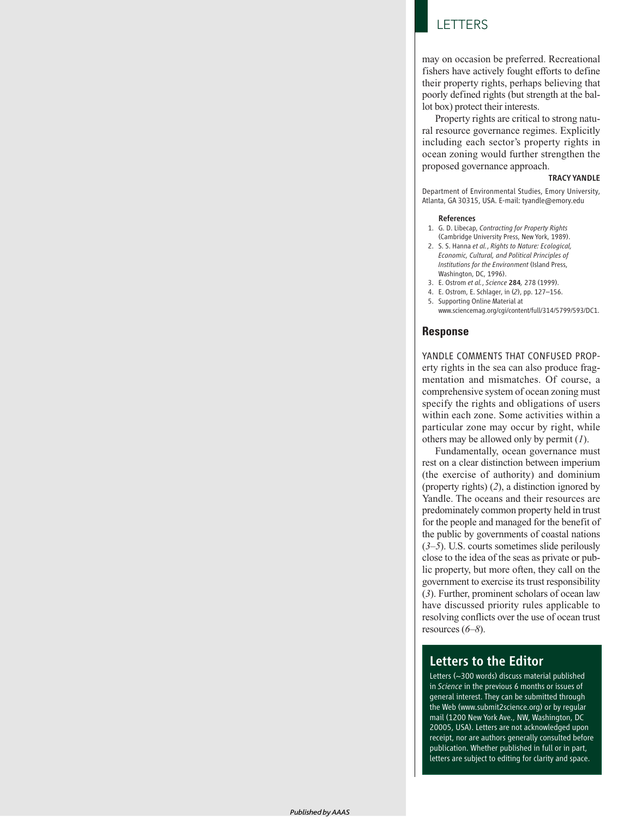# **LETTERS**

may on occasion be preferred. Recreational fishers have actively fought efforts to define their property rights, perhaps believing that poorly defined rights (but strength at the ballot box) protect their interests.

Property rights are critical to strong natural resource governance regimes. Explicitly including each sector's property rights in ocean zoning would further strengthen the proposed governance approach.

#### TRACY YANDLE

Department of Environmental Studies, Emory University, Atlanta, GA 30315, USA. E-mail: tyandle@emory.edu

#### References

- 1. G. D. Libecap, *Contracting for Property Rights* (Cambridge University Press, New York, 1989).
- 2. S. S. Hanna *et al.*, *Rights to Nature: Ecological, Economic, Cultural, and Political Principles of Institutions for the Environment* (Island Press, Washington, DC, 1996).
- 3. E. Ostrom *et al.*, *Science* 284*,* 278 (1999).
- 4. E. Ostrom, E. Schlager, in (*2*), pp. 127–156.
- 5. Supporting Online Material at
	- www.sciencemag.org/cgi/content/full/314/5799/593/DC1.

### **Response**

YANDLE COMMENTS THAT CONFUSED PROPerty rights in the sea can also produce fragmentation and mismatches. Of course, a comprehensive system of ocean zoning must specify the rights and obligations of users within each zone. Some activities within a particular zone may occur by right, while others may be allowed only by permit (*1*).

Fundamentally, ocean governance must rest on a clear distinction between imperium (the exercise of authority) and dominium (property rights) (*2*), a distinction ignored by Yandle. The oceans and their resources are predominately common property held in trust for the people and managed for the benefit of the public by governments of coastal nations (*3–5*). U.S. courts sometimes slide perilously close to the idea of the seas as private or public property, but more often, they call on the government to exercise its trust responsibility (*3*). Further, prominent scholars of ocean law have discussed priority rules applicable to resolving conflicts over the use of ocean trust resources (*6–8*).

# Letters to the Editor

Letters (~300 words) discuss material published in *Science* in the previous 6 months or issues of general interest. They can be submitted through the Web (www.submit2science.org) or by regular mail (1200 New York Ave., NW, Washington, DC 20005, USA). Letters are not acknowledged upon receipt, nor are authors generally consulted before publication. Whether published in full or in part, letters are subject to editing for clarity and space.